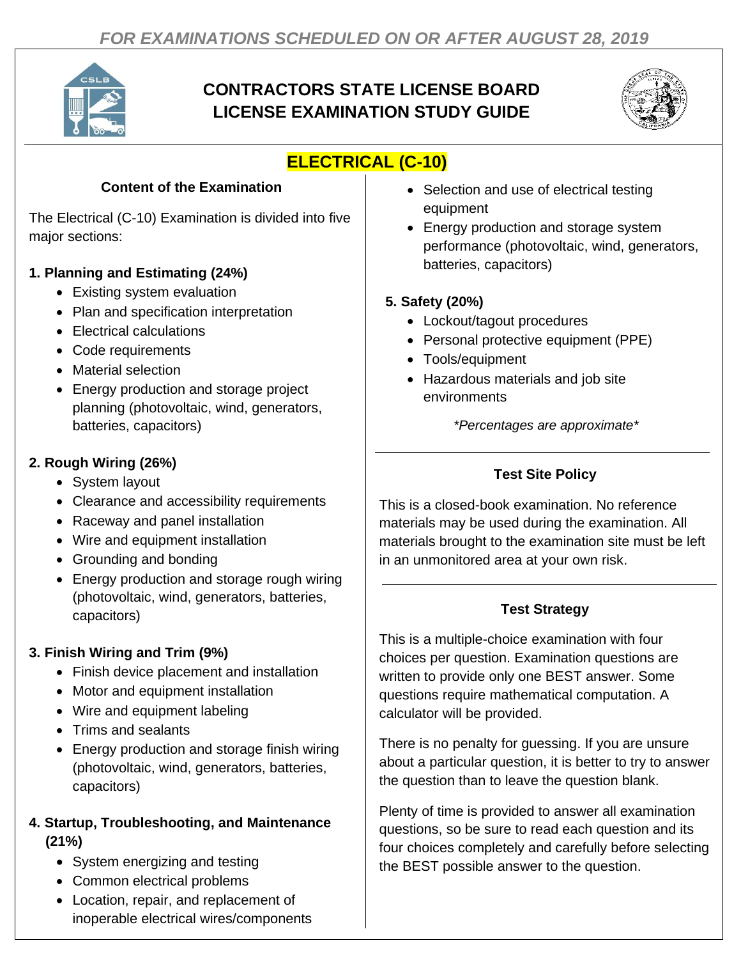

# **CONTRACTORS STATE LICENSE BOARD LICENSE EXAMINATION STUDY GUIDE**



# **ELECTRICAL (C-10)**

#### **Content of the Examination**

The Electrical (C-10) Examination is divided into five major sections:

### **1. Planning and Estimating (24%)**

- Existing system evaluation
- Plan and specification interpretation
- Electrical calculations
- Code requirements
- Material selection
- Energy production and storage project planning (photovoltaic, wind, generators, batteries, capacitors)

### **2. Rough Wiring (26%)**

- System layout
- Clearance and accessibility requirements
- Raceway and panel installation
- Wire and equipment installation
- Grounding and bonding
- Energy production and storage rough wiring (photovoltaic, wind, generators, batteries, capacitors)

## **3. Finish Wiring and Trim (9%)**

- Finish device placement and installation
- Motor and equipment installation
- Wire and equipment labeling
- Trims and sealants
- Energy production and storage finish wiring (photovoltaic, wind, generators, batteries, capacitors)

#### **4. Startup, Troubleshooting, and Maintenance (21%)**

- System energizing and testing
- Common electrical problems
- Location, repair, and replacement of inoperable electrical wires/components
- Selection and use of electrical testing equipment
- Energy production and storage system performance (photovoltaic, wind, generators, batteries, capacitors)

### **5. Safety (20%)**

- Lockout/tagout procedures
- Personal protective equipment (PPE)
- Tools/equipment
- Hazardous materials and job site environments

*\*Percentages are approximate\**

# **Test Site Policy**

This is a closed-book examination. No reference materials may be used during the examination. All materials brought to the examination site must be left in an unmonitored area at your own risk.

## **Test Strategy**

This is a multiple-choice examination with four choices per question. Examination questions are written to provide only one BEST answer. Some questions require mathematical computation. A calculator will be provided.

There is no penalty for guessing. If you are unsure about a particular question, it is better to try to answer the question than to leave the question blank.

Plenty of time is provided to answer all examination questions, so be sure to read each question and its four choices completely and carefully before selecting the BEST possible answer to the question.